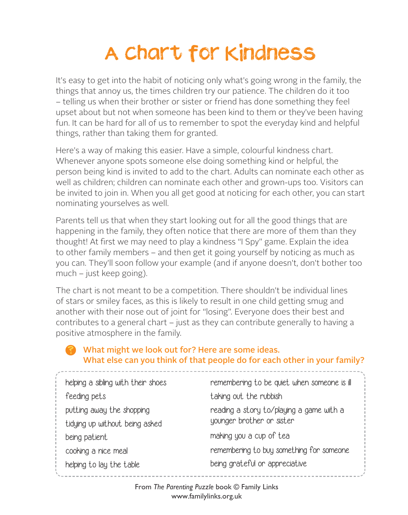## **A Chart for Kindness**

It's easy to get into the habit of noticing only what's going wrong in the family, the things that annoy us, the times children try our patience. The children do it too – telling us when their brother or sister or friend has done something they feel upset about but not when someone has been kind to them or they've been having fun. It can be hard for all of us to remember to spot the everyday kind and helpful things, rather than taking them for granted.

Here's a way of making this easier. Have a simple, colourful kindness chart. Whenever anyone spots someone else doing something kind or helpful, the person being kind is invited to add to the chart. Adults can nominate each other as well as children; children can nominate each other and grown-ups too. Visitors can be invited to join in. When you all get good at noticing for each other, you can start nominating yourselves as well.

Parents tell us that when they start looking out for all the good things that are happening in the family, they often notice that there are more of them than they thought! At first we may need to play a kindness "I Spy" game. Explain the idea to other family members – and then get it going yourself by noticing as much as you can. They'll soon follow your example (and if anyone doesn't, don't bother too much – just keep going).

The chart is not meant to be a competition. There shouldn't be individual lines of stars or smiley faces, as this is likely to result in one child getting smug and another with their nose out of joint for "losing". Everyone does their best and contributes to a general chart – just as they can contribute generally to having a positive atmosphere in the family.

## What might we look out for? Here are some ideas. What else can you think of that people do for each other in your family? **?**

| helping a sibling with their shoes | remembering to be quiet when someone is ill |
|------------------------------------|---------------------------------------------|
| feeding pets                       | taking out the rubbish                      |
| putting away the shopping          | reading a story to/playing a game with a    |
| tidying up without being asked     | younger brother or sister                   |
| being patient                      | making you a cup of tea                     |
| cooking a nice meal                | remembering to buy something for someone    |
| helping to lay the table           | being grateful or appreciative              |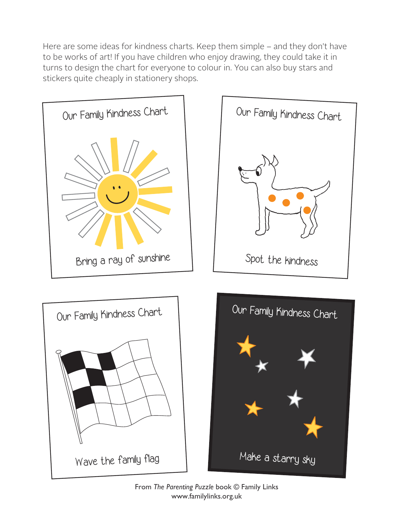Here are some ideas for kindness charts. Keep them simple – and they don't have to be works of art! If you have children who enjoy drawing, they could take it in turns to design the chart for everyone to colour in. You can also buy stars and stickers quite cheaply in stationery shops.







From *The Parenting Puzzle* book © Family Links www.familylinks.org.uk